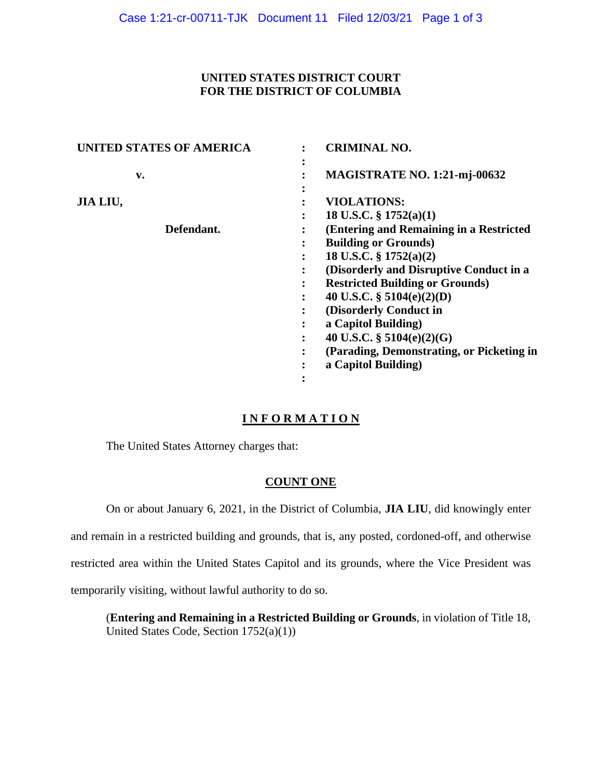## **UNITED STATES DISTRICT COURT FOR THE DISTRICT OF COLUMBIA**

| <b>UNITED STATES OF AMERICA</b> | <b>CRIMINAL NO.</b>                                                  |
|---------------------------------|----------------------------------------------------------------------|
| v.                              | MAGISTRATE NO. 1:21-mj-00632                                         |
| JIA LIU,                        | <b>VIOLATIONS:</b>                                                   |
| Defendant.                      | 18 U.S.C. $\S 1752(a)(1)$<br>(Entering and Remaining in a Restricted |
|                                 | <b>Building or Grounds</b> )                                         |
|                                 | 18 U.S.C. $\S 1752(a)(2)$                                            |
|                                 | (Disorderly and Disruptive Conduct in a                              |
|                                 | <b>Restricted Building or Grounds)</b>                               |
|                                 | 40 U.S.C. $\S$ 5104(e)(2)(D)                                         |
|                                 | (Disorderly Conduct in                                               |
|                                 | a Capitol Building)                                                  |
|                                 | 40 U.S.C. $\S$ 5104(e)(2)(G)<br>٠                                    |
|                                 | (Parading, Demonstrating, or Picketing in                            |
|                                 | a Capitol Building)                                                  |
|                                 | $\bullet$                                                            |

# **I N F O R M A T I O N**

The United States Attorney charges that:

# **COUNT ONE**

On or about January 6, 2021, in the District of Columbia, **JIA LIU**, did knowingly enter

and remain in a restricted building and grounds, that is, any posted, cordoned-off, and otherwise

restricted area within the United States Capitol and its grounds, where the Vice President was

temporarily visiting, without lawful authority to do so.

(**Entering and Remaining in a Restricted Building or Grounds**, in violation of Title 18, United States Code, Section 1752(a)(1))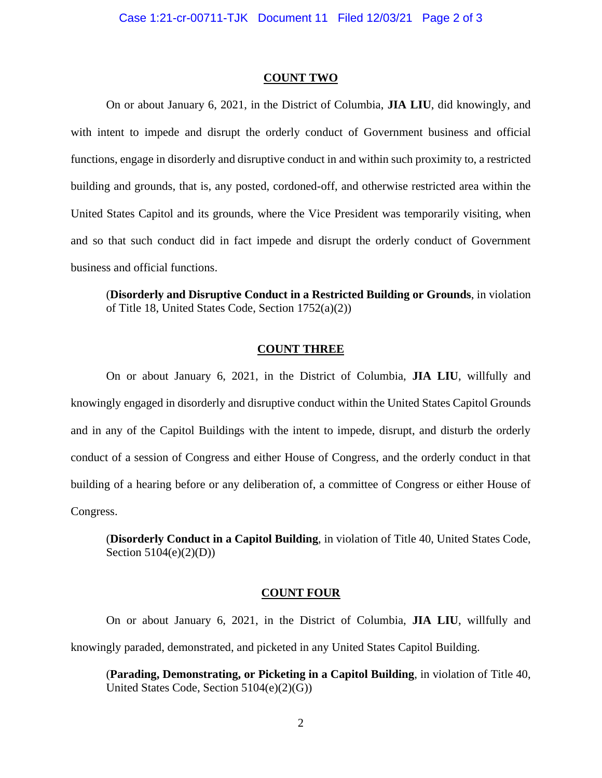### **COUNT TWO**

On or about January 6, 2021, in the District of Columbia, **JIA LIU**, did knowingly, and with intent to impede and disrupt the orderly conduct of Government business and official functions, engage in disorderly and disruptive conduct in and within such proximity to, a restricted building and grounds, that is, any posted, cordoned-off, and otherwise restricted area within the United States Capitol and its grounds, where the Vice President was temporarily visiting, when and so that such conduct did in fact impede and disrupt the orderly conduct of Government business and official functions.

(**Disorderly and Disruptive Conduct in a Restricted Building or Grounds**, in violation of Title 18, United States Code, Section 1752(a)(2))

## **COUNT THREE**

On or about January 6, 2021, in the District of Columbia, **JIA LIU**, willfully and knowingly engaged in disorderly and disruptive conduct within the United States Capitol Grounds and in any of the Capitol Buildings with the intent to impede, disrupt, and disturb the orderly conduct of a session of Congress and either House of Congress, and the orderly conduct in that building of a hearing before or any deliberation of, a committee of Congress or either House of Congress.

(**Disorderly Conduct in a Capitol Building**, in violation of Title 40, United States Code, Section  $5104(e)(2)(D)$ )

#### **COUNT FOUR**

On or about January 6, 2021, in the District of Columbia, **JIA LIU**, willfully and knowingly paraded, demonstrated, and picketed in any United States Capitol Building.

(**Parading, Demonstrating, or Picketing in a Capitol Building**, in violation of Title 40, United States Code, Section 5104(e)(2)(G))